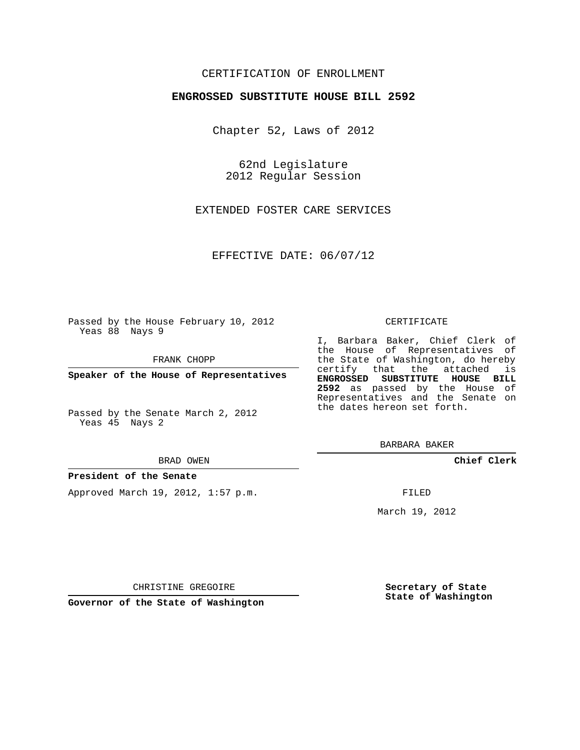## CERTIFICATION OF ENROLLMENT

## **ENGROSSED SUBSTITUTE HOUSE BILL 2592**

Chapter 52, Laws of 2012

62nd Legislature 2012 Regular Session

EXTENDED FOSTER CARE SERVICES

EFFECTIVE DATE: 06/07/12

Passed by the House February 10, 2012 Yeas 88 Nays 9

FRANK CHOPP

**Speaker of the House of Representatives**

Passed by the Senate March 2, 2012 Yeas 45 Nays 2

### **President of the Senate**

Approved March 19, 2012, 1:57 p.m.

#### CERTIFICATE

I, Barbara Baker, Chief Clerk of the House of Representatives of the State of Washington, do hereby certify that the attached is **ENGROSSED SUBSTITUTE HOUSE BILL 2592** as passed by the House of Representatives and the Senate on the dates hereon set forth.

BARBARA BAKER

**Chief Clerk**

FILED

March 19, 2012

**Secretary of State State of Washington**

CHRISTINE GREGOIRE

**Governor of the State of Washington**

BRAD OWEN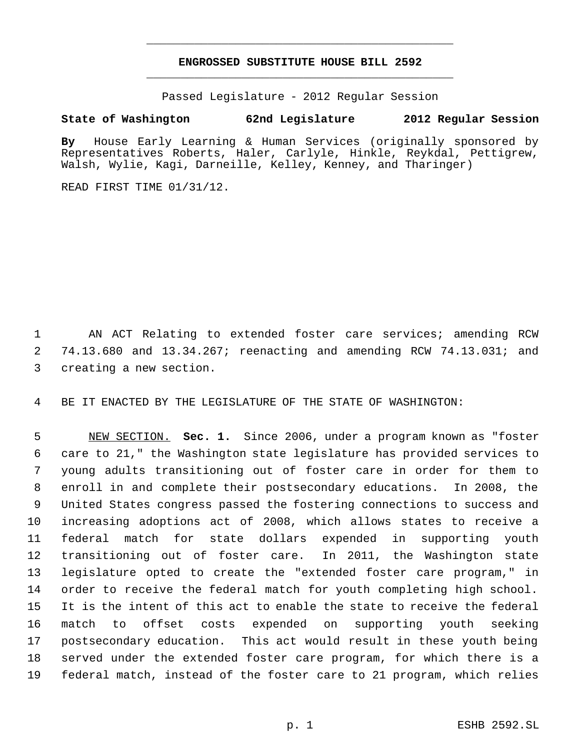# **ENGROSSED SUBSTITUTE HOUSE BILL 2592** \_\_\_\_\_\_\_\_\_\_\_\_\_\_\_\_\_\_\_\_\_\_\_\_\_\_\_\_\_\_\_\_\_\_\_\_\_\_\_\_\_\_\_\_\_

\_\_\_\_\_\_\_\_\_\_\_\_\_\_\_\_\_\_\_\_\_\_\_\_\_\_\_\_\_\_\_\_\_\_\_\_\_\_\_\_\_\_\_\_\_

Passed Legislature - 2012 Regular Session

# **State of Washington 62nd Legislature 2012 Regular Session**

**By** House Early Learning & Human Services (originally sponsored by Representatives Roberts, Haler, Carlyle, Hinkle, Reykdal, Pettigrew, Walsh, Wylie, Kagi, Darneille, Kelley, Kenney, and Tharinger)

READ FIRST TIME 01/31/12.

 AN ACT Relating to extended foster care services; amending RCW 74.13.680 and 13.34.267; reenacting and amending RCW 74.13.031; and creating a new section.

BE IT ENACTED BY THE LEGISLATURE OF THE STATE OF WASHINGTON:

 NEW SECTION. **Sec. 1.** Since 2006, under a program known as "foster care to 21," the Washington state legislature has provided services to young adults transitioning out of foster care in order for them to enroll in and complete their postsecondary educations. In 2008, the United States congress passed the fostering connections to success and increasing adoptions act of 2008, which allows states to receive a federal match for state dollars expended in supporting youth transitioning out of foster care. In 2011, the Washington state legislature opted to create the "extended foster care program," in order to receive the federal match for youth completing high school. It is the intent of this act to enable the state to receive the federal match to offset costs expended on supporting youth seeking postsecondary education. This act would result in these youth being served under the extended foster care program, for which there is a federal match, instead of the foster care to 21 program, which relies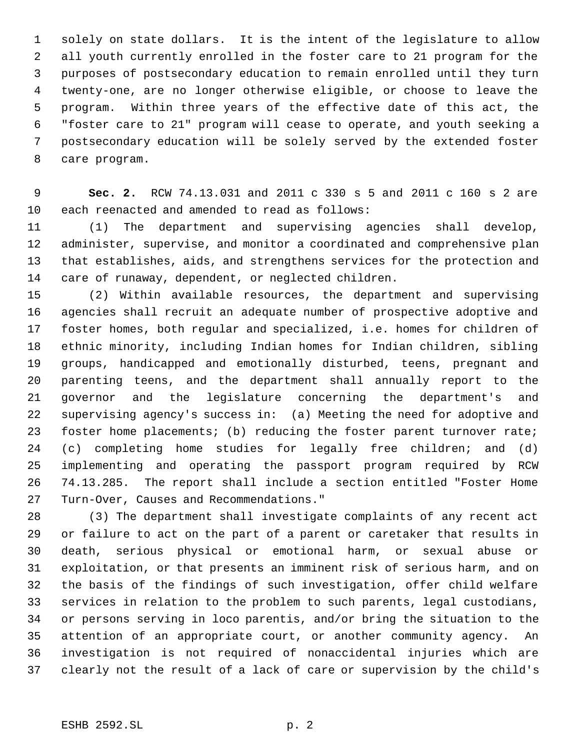solely on state dollars. It is the intent of the legislature to allow all youth currently enrolled in the foster care to 21 program for the purposes of postsecondary education to remain enrolled until they turn twenty-one, are no longer otherwise eligible, or choose to leave the program. Within three years of the effective date of this act, the "foster care to 21" program will cease to operate, and youth seeking a postsecondary education will be solely served by the extended foster care program.

 **Sec. 2.** RCW 74.13.031 and 2011 c 330 s 5 and 2011 c 160 s 2 are each reenacted and amended to read as follows:

 (1) The department and supervising agencies shall develop, administer, supervise, and monitor a coordinated and comprehensive plan that establishes, aids, and strengthens services for the protection and care of runaway, dependent, or neglected children.

 (2) Within available resources, the department and supervising agencies shall recruit an adequate number of prospective adoptive and foster homes, both regular and specialized, i.e. homes for children of ethnic minority, including Indian homes for Indian children, sibling groups, handicapped and emotionally disturbed, teens, pregnant and parenting teens, and the department shall annually report to the governor and the legislature concerning the department's and supervising agency's success in: (a) Meeting the need for adoptive and 23 foster home placements; (b) reducing the foster parent turnover rate; (c) completing home studies for legally free children; and (d) implementing and operating the passport program required by RCW 74.13.285. The report shall include a section entitled "Foster Home Turn-Over, Causes and Recommendations."

 (3) The department shall investigate complaints of any recent act or failure to act on the part of a parent or caretaker that results in death, serious physical or emotional harm, or sexual abuse or exploitation, or that presents an imminent risk of serious harm, and on the basis of the findings of such investigation, offer child welfare services in relation to the problem to such parents, legal custodians, or persons serving in loco parentis, and/or bring the situation to the attention of an appropriate court, or another community agency. An investigation is not required of nonaccidental injuries which are clearly not the result of a lack of care or supervision by the child's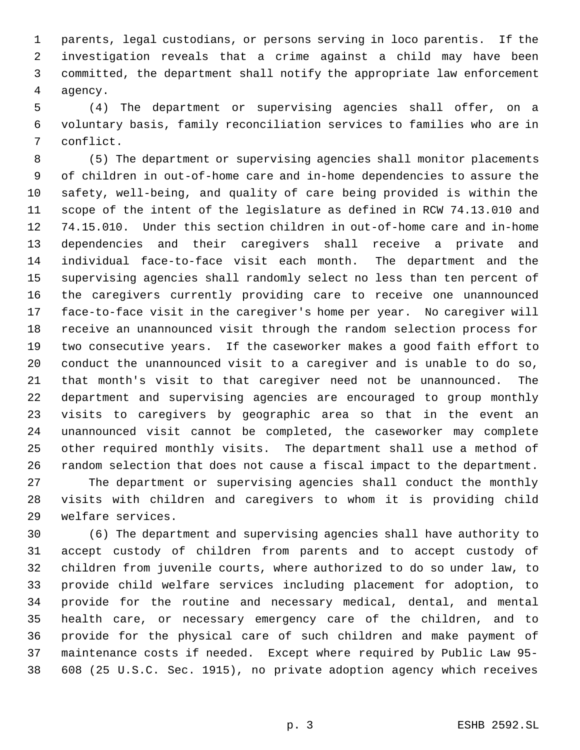parents, legal custodians, or persons serving in loco parentis. If the investigation reveals that a crime against a child may have been committed, the department shall notify the appropriate law enforcement agency.

 (4) The department or supervising agencies shall offer, on a voluntary basis, family reconciliation services to families who are in conflict.

 (5) The department or supervising agencies shall monitor placements of children in out-of-home care and in-home dependencies to assure the safety, well-being, and quality of care being provided is within the scope of the intent of the legislature as defined in RCW 74.13.010 and 74.15.010. Under this section children in out-of-home care and in-home dependencies and their caregivers shall receive a private and individual face-to-face visit each month. The department and the supervising agencies shall randomly select no less than ten percent of the caregivers currently providing care to receive one unannounced face-to-face visit in the caregiver's home per year. No caregiver will receive an unannounced visit through the random selection process for two consecutive years. If the caseworker makes a good faith effort to conduct the unannounced visit to a caregiver and is unable to do so, that month's visit to that caregiver need not be unannounced. The department and supervising agencies are encouraged to group monthly visits to caregivers by geographic area so that in the event an unannounced visit cannot be completed, the caseworker may complete other required monthly visits. The department shall use a method of random selection that does not cause a fiscal impact to the department. The department or supervising agencies shall conduct the monthly visits with children and caregivers to whom it is providing child welfare services.

 (6) The department and supervising agencies shall have authority to accept custody of children from parents and to accept custody of children from juvenile courts, where authorized to do so under law, to provide child welfare services including placement for adoption, to provide for the routine and necessary medical, dental, and mental health care, or necessary emergency care of the children, and to provide for the physical care of such children and make payment of maintenance costs if needed. Except where required by Public Law 95- 608 (25 U.S.C. Sec. 1915), no private adoption agency which receives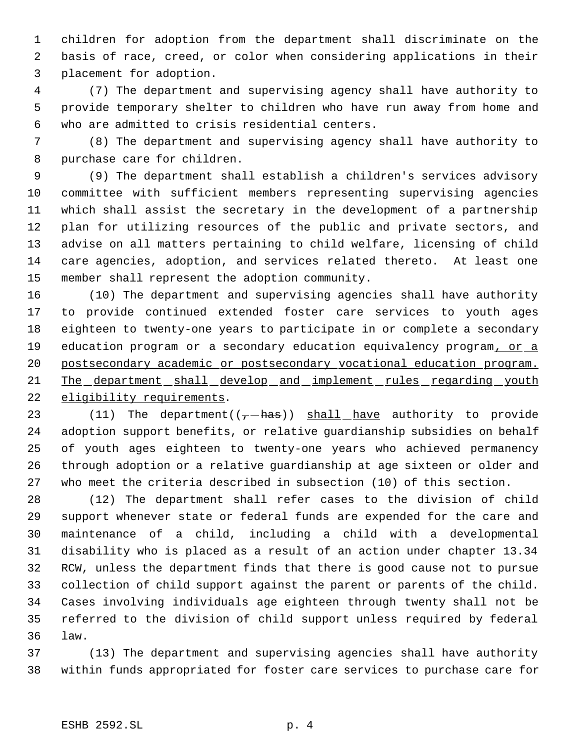children for adoption from the department shall discriminate on the basis of race, creed, or color when considering applications in their placement for adoption.

 (7) The department and supervising agency shall have authority to provide temporary shelter to children who have run away from home and who are admitted to crisis residential centers.

 (8) The department and supervising agency shall have authority to purchase care for children.

 (9) The department shall establish a children's services advisory committee with sufficient members representing supervising agencies which shall assist the secretary in the development of a partnership plan for utilizing resources of the public and private sectors, and advise on all matters pertaining to child welfare, licensing of child care agencies, adoption, and services related thereto. At least one member shall represent the adoption community.

 (10) The department and supervising agencies shall have authority to provide continued extended foster care services to youth ages eighteen to twenty-one years to participate in or complete a secondary 19 education program or a secondary education equivalency program, or a postsecondary academic or postsecondary vocational education program. 21 The department shall develop and implement rules regarding youth 22 eligibility requirements.

23 (11) The department( $(-has)$ ) shall have authority to provide adoption support benefits, or relative guardianship subsidies on behalf of youth ages eighteen to twenty-one years who achieved permanency through adoption or a relative guardianship at age sixteen or older and who meet the criteria described in subsection (10) of this section.

 (12) The department shall refer cases to the division of child support whenever state or federal funds are expended for the care and maintenance of a child, including a child with a developmental disability who is placed as a result of an action under chapter 13.34 RCW, unless the department finds that there is good cause not to pursue collection of child support against the parent or parents of the child. Cases involving individuals age eighteen through twenty shall not be referred to the division of child support unless required by federal law.

 (13) The department and supervising agencies shall have authority within funds appropriated for foster care services to purchase care for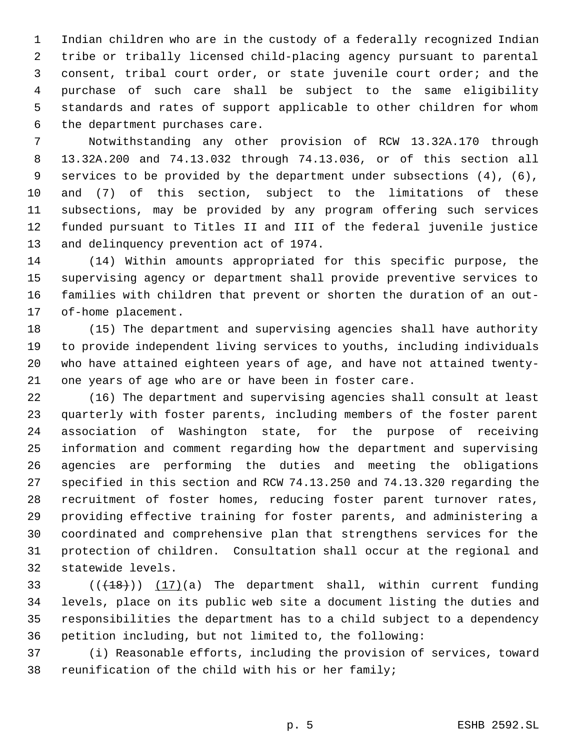Indian children who are in the custody of a federally recognized Indian tribe or tribally licensed child-placing agency pursuant to parental consent, tribal court order, or state juvenile court order; and the purchase of such care shall be subject to the same eligibility standards and rates of support applicable to other children for whom the department purchases care.

 Notwithstanding any other provision of RCW 13.32A.170 through 13.32A.200 and 74.13.032 through 74.13.036, or of this section all services to be provided by the department under subsections (4), (6), and (7) of this section, subject to the limitations of these subsections, may be provided by any program offering such services funded pursuant to Titles II and III of the federal juvenile justice and delinquency prevention act of 1974.

 (14) Within amounts appropriated for this specific purpose, the supervising agency or department shall provide preventive services to families with children that prevent or shorten the duration of an out-of-home placement.

 (15) The department and supervising agencies shall have authority to provide independent living services to youths, including individuals who have attained eighteen years of age, and have not attained twenty-one years of age who are or have been in foster care.

 (16) The department and supervising agencies shall consult at least quarterly with foster parents, including members of the foster parent association of Washington state, for the purpose of receiving information and comment regarding how the department and supervising agencies are performing the duties and meeting the obligations specified in this section and RCW 74.13.250 and 74.13.320 regarding the recruitment of foster homes, reducing foster parent turnover rates, providing effective training for foster parents, and administering a coordinated and comprehensive plan that strengthens services for the protection of children. Consultation shall occur at the regional and statewide levels.

 $((+18))$   $(17)(a)$  The department shall, within current funding levels, place on its public web site a document listing the duties and responsibilities the department has to a child subject to a dependency petition including, but not limited to, the following:

 (i) Reasonable efforts, including the provision of services, toward reunification of the child with his or her family;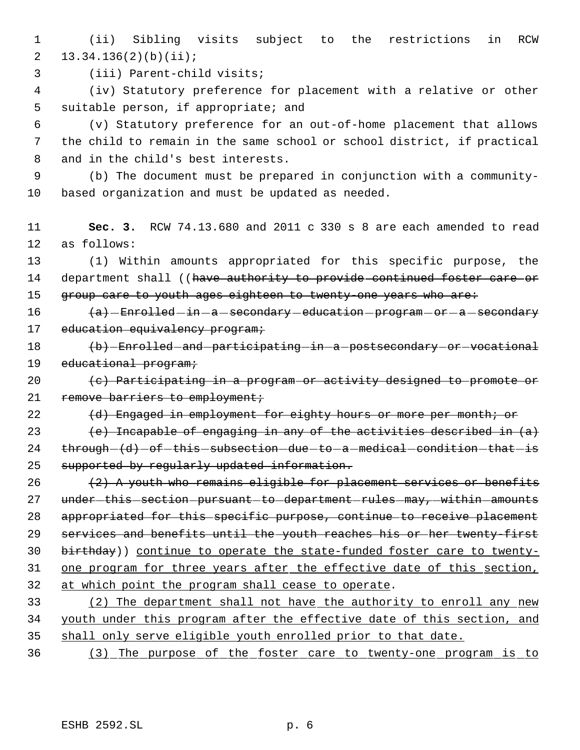1 (ii) Sibling visits subject to the restrictions in RCW 2 13.34.136(2)(b)(ii);

3 (iii) Parent-child visits;

 4 (iv) Statutory preference for placement with a relative or other 5 suitable person, if appropriate; and

 6 (v) Statutory preference for an out-of-home placement that allows 7 the child to remain in the same school or school district, if practical 8 and in the child's best interests.

 9 (b) The document must be prepared in conjunction with a community-10 based organization and must be updated as needed.

11 **Sec. 3.** RCW 74.13.680 and 2011 c 330 s 8 are each amended to read 12 as follows:

13 (1) Within amounts appropriated for this specific purpose, the 14 department shall ((have authority to provide continued foster care or 15 group care to youth ages eighteen to twenty-one years who are:

16  $\left\{\right.$   $\left\{\right.\right.$   $\left\{\right.$   $\left\{\right.\right.}$  Enrolled -in -a -secondary -education -program -or -a -secondary 17 education equivalency program;

18 (b) Enrolled and participating in a postsecondary or vocational 19 educational program;

20 (c) Participating in a program or activity designed to promote or 21 remove barriers to employment;

22 (d) Engaged in employment for eighty hours or more per month; or

23 (e) Incapable of engaging in any of the activities described in  $(a)$  $24$  through  $(d)$  -of -this -subsection -due -to -a -medical -condition -that -is 25 supported by regularly updated information.

 $(2)$  A youth who remains eligible for placement services or benefits 27 under-this-section-pursuant-to-department-rules-may,-within-amounts appropriated for this specific purpose, continue to receive placement services and benefits until the youth reaches his or her twenty-first 30 birthday)) continue to operate the state-funded foster care to twenty-31 one program for three years after the effective date of this section, at which point the program shall cease to operate. (2) The department shall not have the authority to enroll any new

34 youth under this program after the effective date of this section, and 35 shall only serve eligible youth enrolled prior to that date.

36 (3) The purpose of the foster care to twenty-one program is to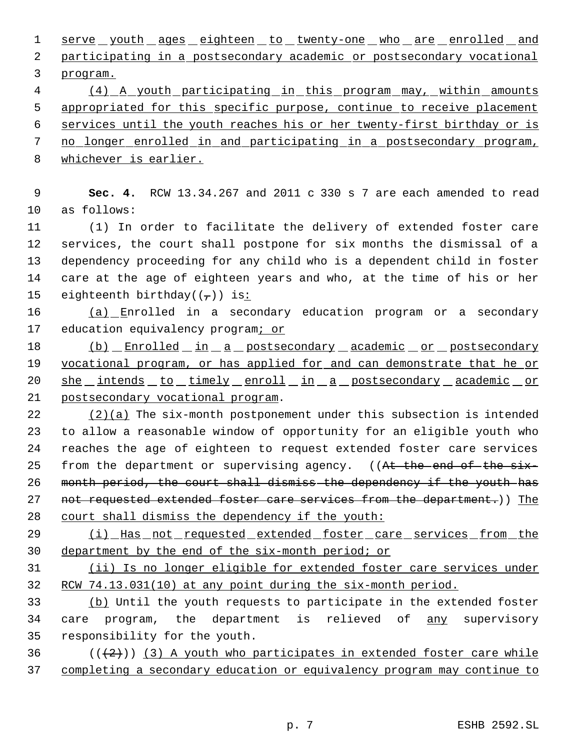1 serve youth ages eighteen to twenty-one who are enrolled and participating in a postsecondary academic or postsecondary vocational program.

 (4) A youth participating in this program may, within amounts appropriated for this specific purpose, continue to receive placement

services until the youth reaches his or her twenty-first birthday or is

- no longer enrolled in and participating in a postsecondary program,
- whichever is earlier.

 **Sec. 4.** RCW 13.34.267 and 2011 c 330 s 7 are each amended to read as follows:

 (1) In order to facilitate the delivery of extended foster care services, the court shall postpone for six months the dismissal of a dependency proceeding for any child who is a dependent child in foster care at the age of eighteen years and who, at the time of his or her 15 eighteenth birthday( $(\tau)$ ) is:

 (a) Enrolled in a secondary education program or a secondary education equivalency program; or

18 (b) Enrolled in a postsecondary academic or postsecondary 19 vocational program, or has applied for and can demonstrate that he or 20 she intends to timely enroll in a postsecondary academic or postsecondary vocational program.

 $(2)(a)$  The six-month postponement under this subsection is intended to allow a reasonable window of opportunity for an eligible youth who reaches the age of eighteen to request extended foster care services 25 from the department or supervising agency. ((At the end of the six-26 month period, the court shall dismiss the dependency if the youth has 27 not requested extended foster care services from the department.)) The court shall dismiss the dependency if the youth:

29 (i) Has not requested extended foster care services from the department by the end of the six-month period; or

 (ii) Is no longer eligible for extended foster care services under RCW 74.13.031(10) at any point during the six-month period.

 (b) Until the youth requests to participate in the extended foster 34 care program, the department is relieved of any supervisory responsibility for the youth.

36  $((+2))$  (3) A youth who participates in extended foster care while completing a secondary education or equivalency program may continue to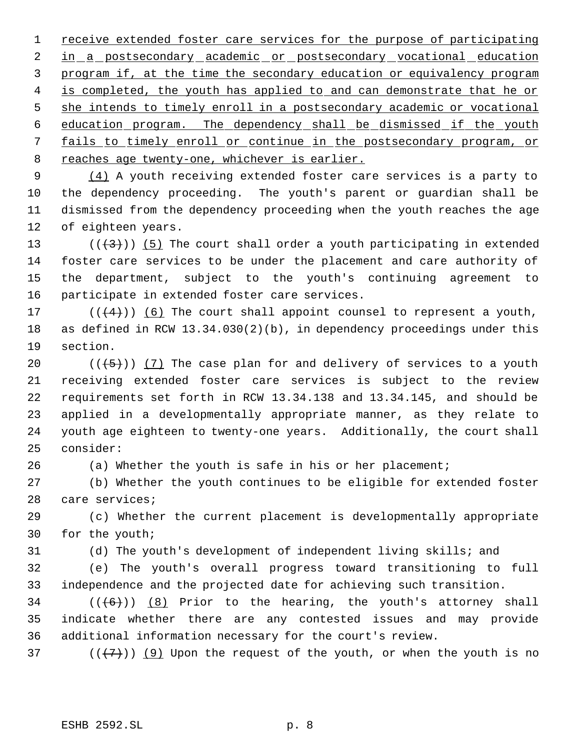receive extended foster care services for the purpose of participating 2 in a postsecondary academic or postsecondary vocational education 3 program if, at the time the secondary education or equivalency program 4 is completed, the youth has applied to and can demonstrate that he or 5 she intends to timely enroll in a postsecondary academic or vocational education program. The dependency shall be dismissed if the youth fails to timely enroll or continue in the postsecondary program, or 8 reaches age twenty-one, whichever is earlier.

 (4) A youth receiving extended foster care services is a party to the dependency proceeding. The youth's parent or guardian shall be dismissed from the dependency proceeding when the youth reaches the age of eighteen years.

13 ( $(\frac{43}{})$ ) (5) The court shall order a youth participating in extended foster care services to be under the placement and care authority of the department, subject to the youth's continuing agreement to participate in extended foster care services.

17  $((4+))$  (6) The court shall appoint counsel to represent a youth, as defined in RCW 13.34.030(2)(b), in dependency proceedings under this section.

 $((+5))$   $(7)$  The case plan for and delivery of services to a youth receiving extended foster care services is subject to the review requirements set forth in RCW 13.34.138 and 13.34.145, and should be applied in a developmentally appropriate manner, as they relate to youth age eighteen to twenty-one years. Additionally, the court shall consider:

(a) Whether the youth is safe in his or her placement;

 (b) Whether the youth continues to be eligible for extended foster care services;

 (c) Whether the current placement is developmentally appropriate for the youth;

(d) The youth's development of independent living skills; and

 (e) The youth's overall progress toward transitioning to full independence and the projected date for achieving such transition.

34  $((\langle 6 \rangle) )$  (8) Prior to the hearing, the youth's attorney shall indicate whether there are any contested issues and may provide additional information necessary for the court's review.

37 ( $(\overline{+7})$ ) (9) Upon the request of the youth, or when the youth is no